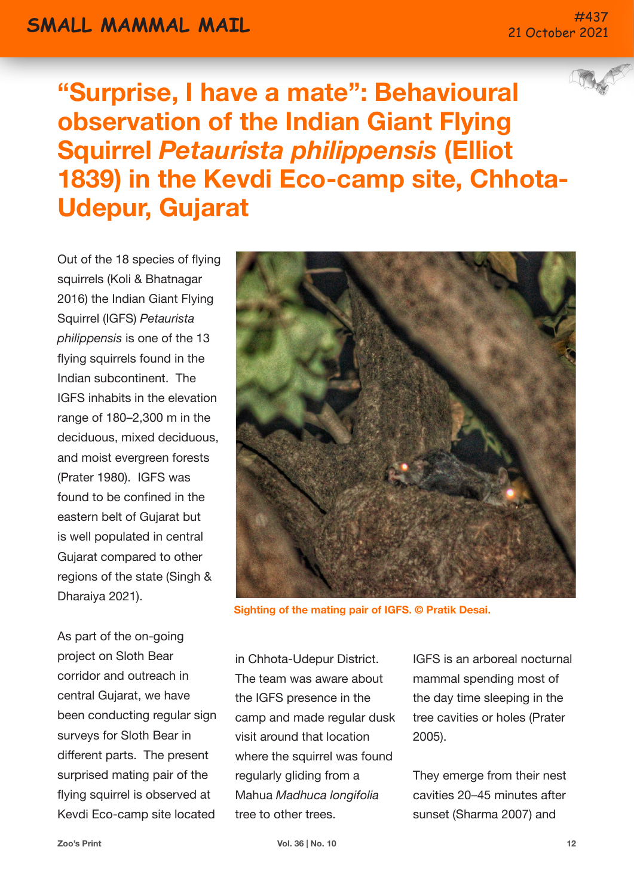## **SMALL MAMMAL MATL And the state of the state of the state of the state of the state of the state of the state of the state of the state of the state of the state of the state of the state of the state of the state of th**

## 21 October 2021

**"Surprise, I have a mate": Behavioural observation of the Indian Giant Flying Squirrel** *Petaurista philippensis* **(Elliot 1839) in the Kevdi Eco-camp site, Chhota-Udepur, Gujarat**

Out of the 18 species of flying squirrels (Koli & Bhatnagar 2016) the Indian Giant Flying Squirrel (IGFS) *Petaurista philippensis* is one of the 13 flying squirrels found in the Indian subcontinent. The IGFS inhabits in the elevation range of 180–2,300 m in the deciduous, mixed deciduous, and moist evergreen forests (Prater 1980). IGFS was found to be confined in the eastern belt of Gujarat but is well populated in central Gujarat compared to other regions of the state (Singh & Dharaiya 2021).

As part of the on-going project on Sloth Bear corridor and outreach in central Gujarat, we have been conducting regular sign surveys for Sloth Bear in different parts. The present surprised mating pair of the flying squirrel is observed at Kevdi Eco-camp site located



**Sighting of the mating pair of IGFS. © Pratik Desai.**

in Chhota-Udepur District. The team was aware about the IGFS presence in the camp and made regular dusk visit around that location where the squirrel was found regularly gliding from a Mahua *Madhuca longifolia* tree to other trees.

IGFS is an arboreal nocturnal mammal spending most of the day time sleeping in the tree cavities or holes (Prater 2005).

They emerge from their nest cavities 20–45 minutes after sunset (Sharma 2007) and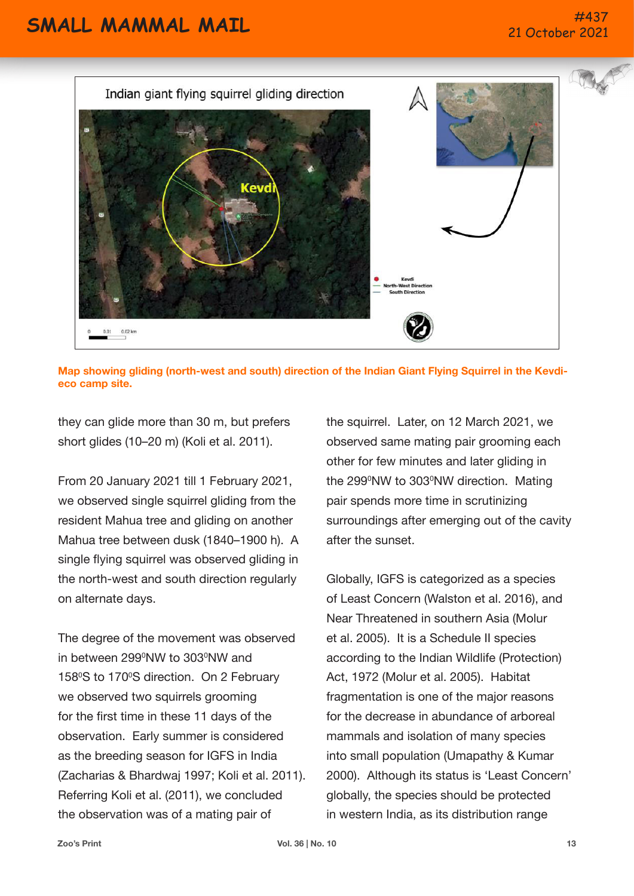

**Map showing gliding (north-west and south) direction of the Indian Giant Flying Squirrel in the Kevdieco camp site.**

they can glide more than 30 m, but prefers short glides (10–20 m) (Koli et al. 2011).

From 20 January 2021 till 1 February 2021, we observed single squirrel gliding from the resident Mahua tree and gliding on another Mahua tree between dusk (1840–1900 h). A single flying squirrel was observed gliding in the north-west and south direction regularly on alternate days.

The degree of the movement was observed in between 299ºNW to 303ºNW and 158°S to 170°S direction. On 2 February we observed two squirrels grooming for the first time in these 11 days of the observation. Early summer is considered as the breeding season for IGFS in India (Zacharias & Bhardwaj 1997; Koli et al. 2011). Referring Koli et al. (2011), we concluded the observation was of a mating pair of

the squirrel. Later, on 12 March 2021, we observed same mating pair grooming each other for few minutes and later gliding in the 299°NW to 303°NW direction. Mating pair spends more time in scrutinizing surroundings after emerging out of the cavity after the sunset.

Globally, IGFS is categorized as a species of Least Concern (Walston et al. 2016), and Near Threatened in southern Asia (Molur et al. 2005). It is a Schedule II species according to the Indian Wildlife (Protection) Act, 1972 (Molur et al. 2005). Habitat fragmentation is one of the major reasons for the decrease in abundance of arboreal mammals and isolation of many species into small population (Umapathy & Kumar 2000). Although its status is 'Least Concern' globally, the species should be protected in western India, as its distribution range